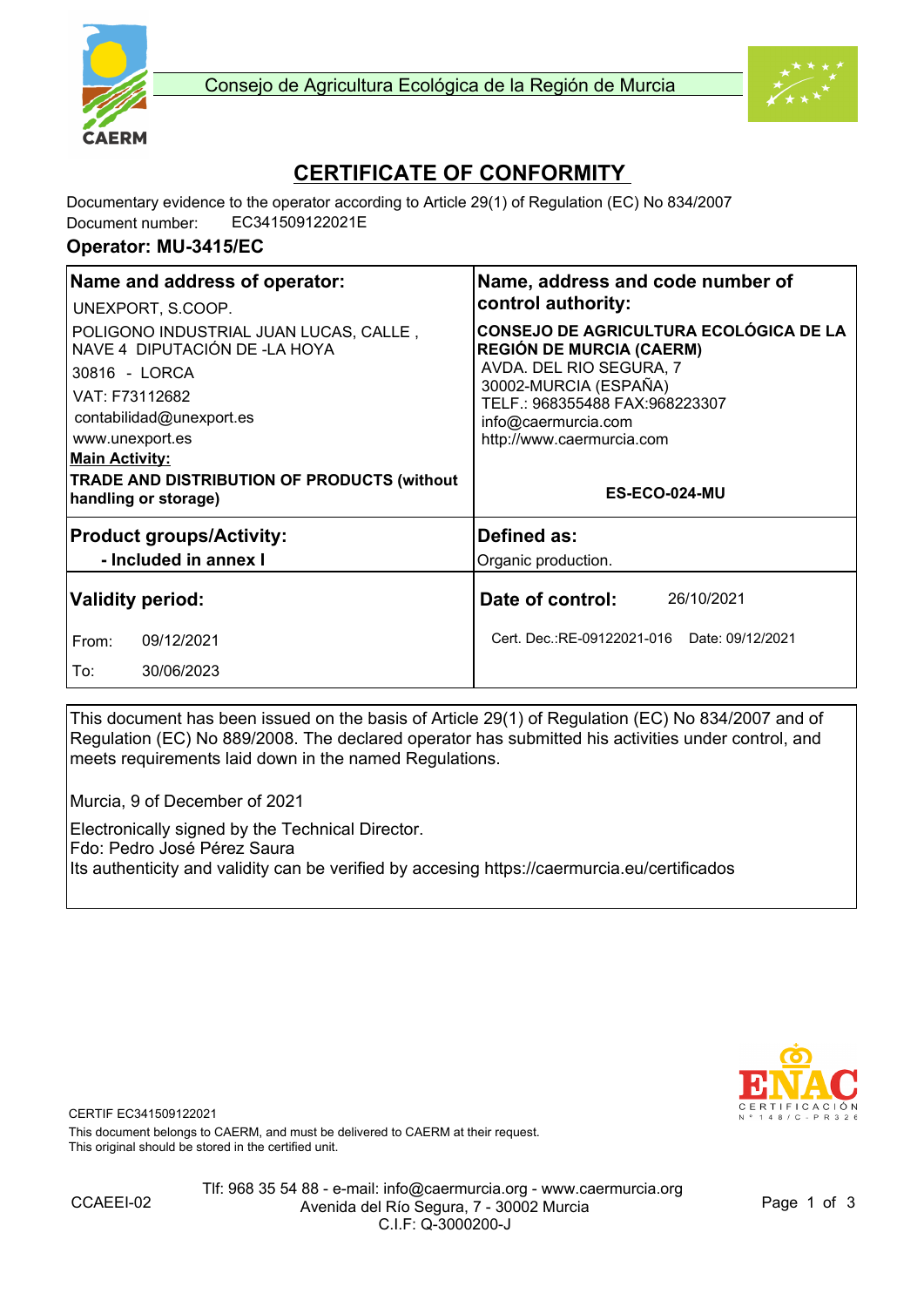



# **CERTIFICATE OF CONFORMITY**

Documentary evidence to the operator according to Article 29(1) of Regulation (EC) No 834/2007 Document number: EC341509122021E

#### **Operator: MU-3415/EC**

| Name and address of operator:                                                            | Name, address and code number of<br>control authority:                                                      |  |
|------------------------------------------------------------------------------------------|-------------------------------------------------------------------------------------------------------------|--|
| UNEXPORT, S.COOP.                                                                        |                                                                                                             |  |
| POLIGONO INDUSTRIAL JUAN LUCAS, CALLE,<br>NAVE 4 DIPUTACIÓN DE -LA HOYA<br>30816 - LORCA | <b>CONSEJO DE AGRICULTURA ECOLÓGICA DE LA</b><br><b>REGIÓN DE MURCIA (CAERM)</b><br>AVDA. DEL RIO SEGURA, 7 |  |
| VAT: F73112682<br>contabilidad@unexport.es<br>www.unexport.es                            | 30002-MURCIA (ESPAÑA)<br>TELF.: 968355488 FAX:968223307<br>info@caermurcia.com<br>http://www.caermurcia.com |  |
| <b>Main Activity:</b>                                                                    |                                                                                                             |  |
| <b>TRADE AND DISTRIBUTION OF PRODUCTS (without</b><br>handling or storage)               | ES-ECO-024-MU                                                                                               |  |
| <b>Product groups/Activity:</b>                                                          | Defined as:                                                                                                 |  |
| - Included in annex I                                                                    | Organic production.                                                                                         |  |
| <b>Validity period:</b>                                                                  | Date of control:<br>26/10/2021                                                                              |  |
| 09/12/2021<br>From:                                                                      | Cert. Dec.:RE-09122021-016 Date: 09/12/2021                                                                 |  |
| To:<br>30/06/2023                                                                        |                                                                                                             |  |

This document has been issued on the basis of Article 29(1) of Regulation (EC) No 834/2007 and of Regulation (EC) No 889/2008. The declared operator has submitted his activities under control, and meets requirements laid down in the named Regulations.

Murcia, 9 of December of 2021

Electronically signed by the Technical Director. Fdo: Pedro José Pérez Saura Its authenticity and validity can be verified by accesing https://caermurcia.eu/certificados



CERTIF EC341509122021

This document belongs to CAERM, and must be delivered to CAERM at their request. This original should be stored in the certified unit.

Tlf: 968 35 54 88 - e-mail: info@caermurcia.org - www.caermurcia.org Avenida del Río Segura, 7 - 30002 Murcia C.I.F: Q-3000200-J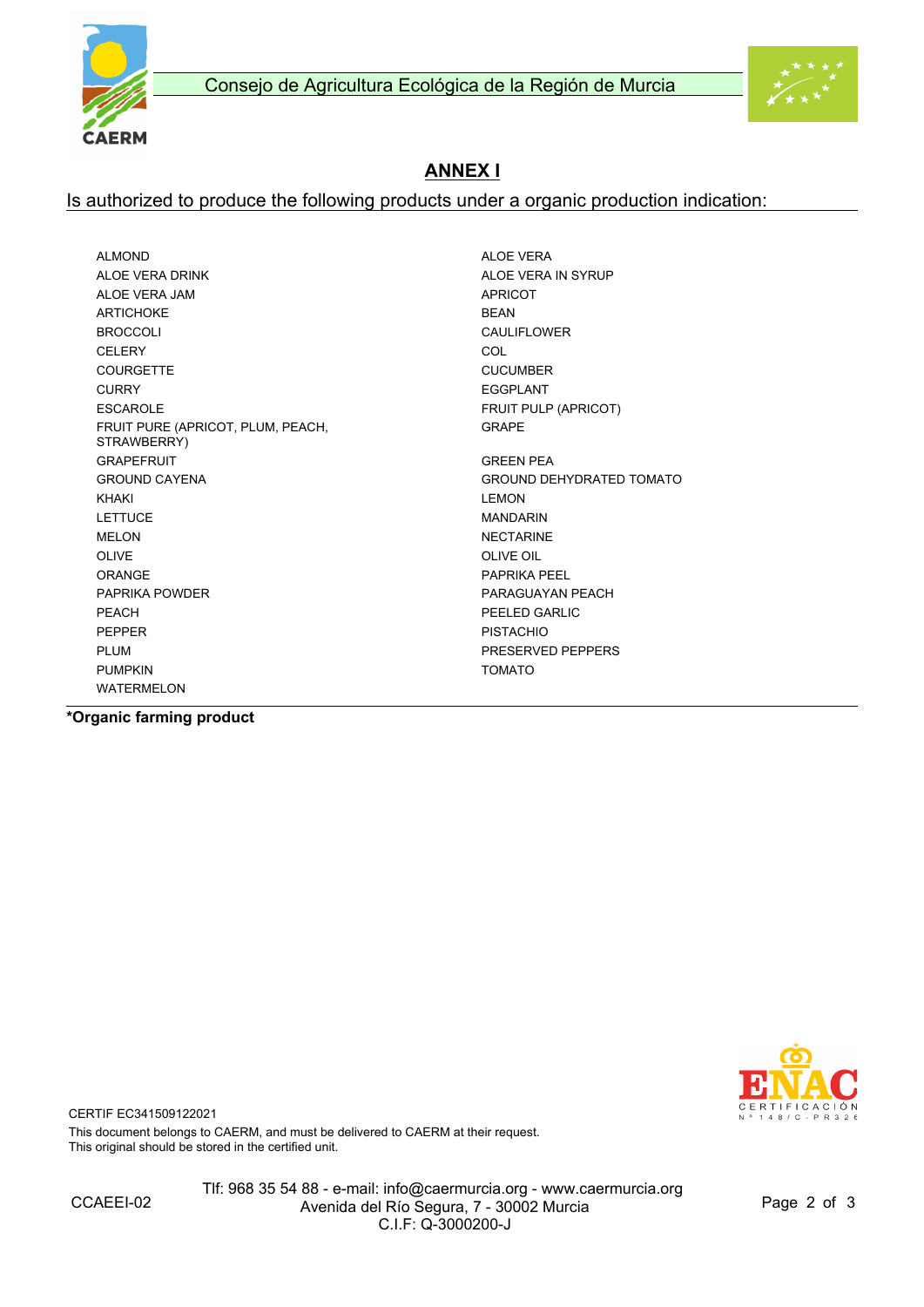

## **ANNEX I**

#### Is authorized to produce the following products under a organic production indication:

ALMOND ALOE VERA ALOE VERA DRINK ALOE VERA IN SYRUP ALOE VERA JAM APRICOT ARTICHOKE BEAN BROCCOLI CAULIFLOWER CELERY COL COURGETTE CUCUMBER CURRY EGGPLANT ESCAROLE **FRUIT PULP (APRICOT)** FRUIT PURE (APRICOT, PLUM, PEACH, STRAWBERRY) GRAPEFRUIT AND SERVICE SERVICES OF SALES AND GREEN PEA GROUND CAYENA GROUND DEHYDRATED TOMATO KHAKI LEMON LETTUCE MANDARIN MELON NECTARINE OLIVE OIL CONTROLLER ON A STATE OF THE OIL CONTROLLER OF THE OIL CONTROLLER OF THE OIL CONTROLLER OF THE OIL CONTROLLER OF THE OIL CONTROLLER OF THE OIL CONTROLLER OF THE OIL CONTROLLER OF THE OIL CONTROLLER OF THE OIL CON ORANGE PAPRIKA PEEL PAPRIKA POWDER PARAGUAYAN PEACH PEACH PEACH PEACH AND REACH PEACH PEACH AND REACH PEACH OF THE SAME REACH PEACH OF THE SAME REACH OF THE SAME REACH OF THE SAME REACH OF THE SAME REACH OF THE SAME REACH OF THE SAME REACH OF THE SAME REACH OF THE SAME REAC PEPPER PEPPER PISTACHIO PLUM PRESERVED PEPPERS PUMPKIN TOMATO WATERMELON

GRAPE

**\*Organic farming product**



CERTIF EC341509122021

This document belongs to CAERM, and must be delivered to CAERM at their request. This original should be stored in the certified unit.

Tlf: 968 35 54 88 - e-mail: info@caermurcia.org - www.caermurcia.org Avenida del Río Segura, 7 - 30002 Murcia C.I.F: Q-3000200-J